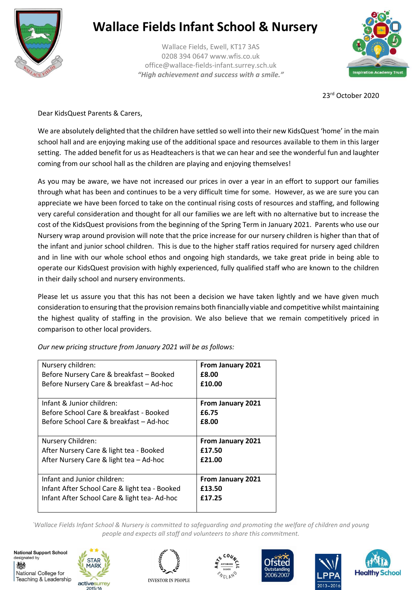

## **Wallace Fields Infant School & Nursery**

Wallace Fields, Ewell, KT17 3AS 0208 394 0647 www.wfis.co.uk office@wallace-fields-infant.surrey.sch.uk *"High achievement and success with a smile."*



23rd October 2020

Dear KidsQuest Parents & Carers,

We are absolutely delighted that the children have settled so well into their new KidsQuest 'home' in the main school hall and are enjoying making use of the additional space and resources available to them in this larger setting. The added benefit for us as Headteachers is that we can hear and see the wonderful fun and laughter coming from our school hall as the children are playing and enjoying themselves!

As you may be aware, we have not increased our prices in over a year in an effort to support our families through what has been and continues to be a very difficult time for some. However, as we are sure you can appreciate we have been forced to take on the continual rising costs of resources and staffing, and following very careful consideration and thought for all our families we are left with no alternative but to increase the cost of the KidsQuest provisions from the beginning of the Spring Term in January 2021. Parents who use our Nursery wrap around provision will note that the price increase for our nursery children is higher than that of the infant and junior school children. This is due to the higher staff ratios required for nursery aged children and in line with our whole school ethos and ongoing high standards, we take great pride in being able to operate our KidsQuest provision with highly experienced, fully qualified staff who are known to the children in their daily school and nursery environments.

Please let us assure you that this has not been a decision we have taken lightly and we have given much consideration to ensuring that the provision remains both financially viable and competitive whilst maintaining the highest quality of staffing in the provision. We also believe that we remain competitively priced in comparison to other local providers.

*Our new pricing structure from January 2021 will be as follows:*

| Nursery children:                             | From January 2021        |
|-----------------------------------------------|--------------------------|
| Before Nursery Care & breakfast - Booked      | £8.00                    |
| Before Nursery Care & breakfast - Ad-hoc      | £10.00                   |
| Infant & Junior children:                     | From January 2021        |
| Before School Care & breakfast - Booked       | £6.75                    |
| Before School Care & breakfast – Ad-hoc       | £8.00                    |
| Nursery Children:                             | <b>From January 2021</b> |
| After Nursery Care & light tea - Booked       | £17.50                   |
| After Nursery Care & light tea - Ad-hoc       | £21.00                   |
| Infant and Junior children:                   | From January 2021        |
| Infant After School Care & light tea - Booked | £13.50                   |
| Infant After School Care & light tea-Ad-hoc   | £17.25                   |

*`Wallace Fields Infant School & Nursery is committed to safeguarding and promoting the welfare of children and young people and expects all staff and volunteers to share this commitment.*

**National Support School** designated by 物 National College for Teaching & Leadership